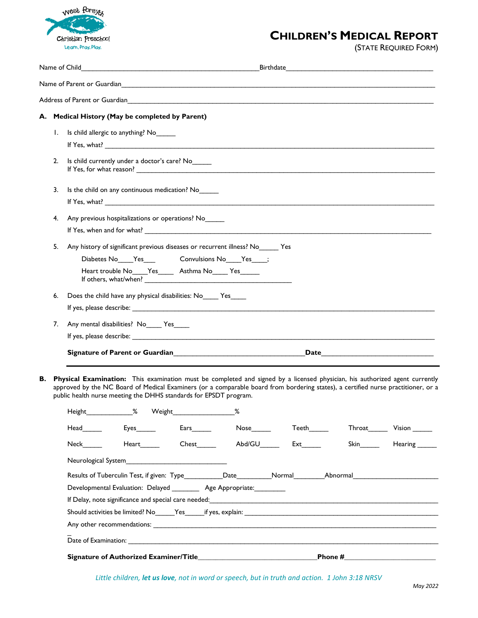

## **CHILDREN'S MEDICAL REPORT**

(STATE REQUIRED FORM)

|                                                 |                                                                                                                             |                                                                                  |                                     |  |                                        | Address of Parent or Guardian Physical Communication of the Communication of the Communication of the Communication of the Communication of the Communication of the Communication of the Communication of the Communication o                                   |                                                                                                                                                                                                                                                           |  |  |  |
|-------------------------------------------------|-----------------------------------------------------------------------------------------------------------------------------|----------------------------------------------------------------------------------|-------------------------------------|--|----------------------------------------|------------------------------------------------------------------------------------------------------------------------------------------------------------------------------------------------------------------------------------------------------------------|-----------------------------------------------------------------------------------------------------------------------------------------------------------------------------------------------------------------------------------------------------------|--|--|--|
|                                                 |                                                                                                                             | A. Medical History (May be completed by Parent)                                  |                                     |  |                                        |                                                                                                                                                                                                                                                                  |                                                                                                                                                                                                                                                           |  |  |  |
| Ι.                                              |                                                                                                                             | Is child allergic to anything? No                                                |                                     |  |                                        |                                                                                                                                                                                                                                                                  |                                                                                                                                                                                                                                                           |  |  |  |
|                                                 |                                                                                                                             |                                                                                  |                                     |  |                                        |                                                                                                                                                                                                                                                                  |                                                                                                                                                                                                                                                           |  |  |  |
| 2.                                              |                                                                                                                             | Is child currently under a doctor's care? No                                     |                                     |  |                                        |                                                                                                                                                                                                                                                                  |                                                                                                                                                                                                                                                           |  |  |  |
| 3.                                              |                                                                                                                             | Is the child on any continuous medication? No_                                   |                                     |  |                                        |                                                                                                                                                                                                                                                                  |                                                                                                                                                                                                                                                           |  |  |  |
|                                                 |                                                                                                                             |                                                                                  |                                     |  |                                        |                                                                                                                                                                                                                                                                  |                                                                                                                                                                                                                                                           |  |  |  |
| 4.                                              | Any previous hospitalizations or operations? No                                                                             |                                                                                  |                                     |  |                                        |                                                                                                                                                                                                                                                                  |                                                                                                                                                                                                                                                           |  |  |  |
|                                                 |                                                                                                                             |                                                                                  |                                     |  |                                        |                                                                                                                                                                                                                                                                  |                                                                                                                                                                                                                                                           |  |  |  |
| 5.                                              |                                                                                                                             | Any history of significant previous diseases or recurrent illness? No ______ Yes |                                     |  |                                        |                                                                                                                                                                                                                                                                  |                                                                                                                                                                                                                                                           |  |  |  |
|                                                 | Diabetes No____Yes_______________Convulsions No____Yes_____;                                                                |                                                                                  |                                     |  |                                        |                                                                                                                                                                                                                                                                  |                                                                                                                                                                                                                                                           |  |  |  |
|                                                 |                                                                                                                             | Heart trouble No____Yes______ Asthma No_____ Yes______                           |                                     |  |                                        |                                                                                                                                                                                                                                                                  |                                                                                                                                                                                                                                                           |  |  |  |
| 6.                                              | Does the child have any physical disabilities: No ______ Yes                                                                |                                                                                  |                                     |  |                                        |                                                                                                                                                                                                                                                                  |                                                                                                                                                                                                                                                           |  |  |  |
|                                                 |                                                                                                                             |                                                                                  |                                     |  |                                        |                                                                                                                                                                                                                                                                  |                                                                                                                                                                                                                                                           |  |  |  |
| 7.<br>Any mental disabilities? No_____ Yes_____ |                                                                                                                             |                                                                                  |                                     |  |                                        |                                                                                                                                                                                                                                                                  |                                                                                                                                                                                                                                                           |  |  |  |
|                                                 |                                                                                                                             |                                                                                  |                                     |  |                                        |                                                                                                                                                                                                                                                                  |                                                                                                                                                                                                                                                           |  |  |  |
|                                                 | Signature of Parent or Guardian<br>Signature of Parent or Guardian<br>${\bf Date} \hspace{.5cm} {\bf \small \textbf{Date}}$ |                                                                                  |                                     |  |                                        |                                                                                                                                                                                                                                                                  |                                                                                                                                                                                                                                                           |  |  |  |
|                                                 |                                                                                                                             | public health nurse meeting the DHHS standards for EPSDT program.                |                                     |  |                                        | Physical Examination: This examination must be completed and signed by a licensed physician, his authorized agent currently<br>approved by the NC Board of Medical Examiners (or a comparable board from bordering states), a certified nurse practitioner, or a |                                                                                                                                                                                                                                                           |  |  |  |
|                                                 | Height_                                                                                                                     | $\%$<br>Weight_                                                                  |                                     |  |                                        |                                                                                                                                                                                                                                                                  |                                                                                                                                                                                                                                                           |  |  |  |
|                                                 |                                                                                                                             |                                                                                  | $Ears$ and $\overline{\phantom{a}}$ |  |                                        |                                                                                                                                                                                                                                                                  | Throat Vision                                                                                                                                                                                                                                             |  |  |  |
|                                                 |                                                                                                                             | Heart                                                                            |                                     |  | Chest________  Abd/GU_______ Ext______ |                                                                                                                                                                                                                                                                  | Skin Bilder Hearing <sub>Skin</sub> Bilder Hearing <sub>Skin</sub> Bilder Hearing <sub>Skin</sub> Bilder Hearing Skin Bilder Hearing Skin Bilder Hearing Skin Bilder Hearing Skin Skin Bilder Hearing Skin Bilder Hearing Skin Bilder Hearing Skin Bilder |  |  |  |
|                                                 |                                                                                                                             | Neurological System________________________________                              |                                     |  |                                        |                                                                                                                                                                                                                                                                  |                                                                                                                                                                                                                                                           |  |  |  |
|                                                 |                                                                                                                             |                                                                                  |                                     |  |                                        | Results of Tuberculin Test, if given: Type___________Date__________Normal_________Abnormal____________________                                                                                                                                                   |                                                                                                                                                                                                                                                           |  |  |  |
|                                                 | Developmental Evaluation: Delayed _________ Age Appropriate: ________                                                       |                                                                                  |                                     |  |                                        |                                                                                                                                                                                                                                                                  |                                                                                                                                                                                                                                                           |  |  |  |
|                                                 |                                                                                                                             |                                                                                  |                                     |  |                                        |                                                                                                                                                                                                                                                                  |                                                                                                                                                                                                                                                           |  |  |  |
|                                                 |                                                                                                                             |                                                                                  |                                     |  |                                        |                                                                                                                                                                                                                                                                  |                                                                                                                                                                                                                                                           |  |  |  |
|                                                 |                                                                                                                             |                                                                                  |                                     |  |                                        |                                                                                                                                                                                                                                                                  |                                                                                                                                                                                                                                                           |  |  |  |
|                                                 |                                                                                                                             |                                                                                  |                                     |  |                                        |                                                                                                                                                                                                                                                                  |                                                                                                                                                                                                                                                           |  |  |  |
|                                                 |                                                                                                                             |                                                                                  |                                     |  |                                        |                                                                                                                                                                                                                                                                  |                                                                                                                                                                                                                                                           |  |  |  |

*Little children, let us love, not in word or speech, but in truth and action. 1 John 3:18 NRSV*